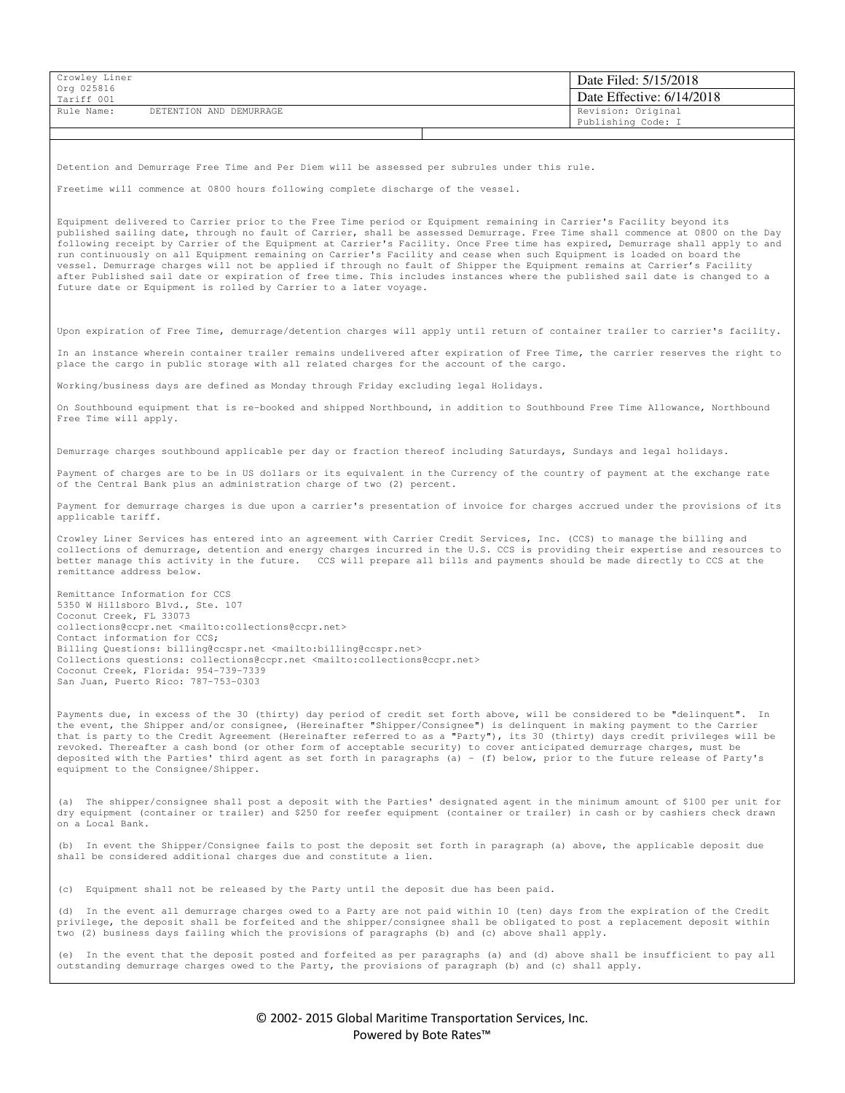| Crowley Liner<br>Org 025816 |                         |  | Date Filed: 5/15/2018     |
|-----------------------------|-------------------------|--|---------------------------|
| Tariff 001                  |                         |  | Date Effective: 6/14/2018 |
| Rule Name:                  | DETENTION AND DEMURRAGE |  | Revision: Original        |
|                             |                         |  | Publishing Code: I        |

Detention and Demurrage Free Time and Per Diem will be assessed per subrules under this rule.

Freetime will commence at 0800 hours following complete discharge of the vessel.

Equipment delivered to Carrier prior to the Free Time period or Equipment remaining in Carrier's Facility beyond its published sailing date, through no fault of Carrier, shall be assessed Demurrage. Free Time shall commence at 0800 on the Day following receipt by Carrier of the Equipment at Carrier's Facility. Once Free time has expired, Demurrage shall apply to and run continuously on all Equipment remaining on Carrier's Facility and cease when such Equipment is loaded on board the vessel. Demurrage charges will not be applied if through no fault of Shipper the Equipment remains at Carrier's Facility after Published sail date or expiration of free time. This includes instances where the published sail date is changed to a future date or Equipment is rolled by Carrier to a later voyage.

Upon expiration of Free Time, demurrage/detention charges will apply until return of container trailer to carrier's facility.

In an instance wherein container trailer remains undelivered after expiration of Free Time, the carrier reserves the right to place the cargo in public storage with all related charges for the account of the cargo.

Working/business days are defined as Monday through Friday excluding legal Holidays.

 On Southbound equipment that is re-booked and shipped Northbound, in addition to Southbound Free Time Allowance, Northbound Free Time will apply.

Demurrage charges southbound applicable per day or fraction thereof including Saturdays, Sundays and legal holidays.

Payment of charges are to be in US dollars or its equivalent in the Currency of the country of payment at the exchange rate of the Central Bank plus an administration charge of two (2) percent.

Payment for demurrage charges is due upon a carrier's presentation of invoice for charges accrued under the provisions of its applicable tariff.

Crowley Liner Services has entered into an agreement with Carrier Credit Services, Inc. (CCS) to manage the billing and collections of demurrage, detention and energy charges incurred in the U.S. CCS is providing their expertise and resources to better manage this activity in the future. CCS will prepare all bills and payments should be made directly to CCS at the remittance address below.

Remittance Information for CCS 5350 W Hillsboro Blvd., Ste. 107 Coconut Creek, FL 33073 collections@ccpr.net <mailto:collections@ccpr.net> Contact information for CCS; Billing Questions: billing@ccspr.net <mailto:billing@ccspr.net> Collections questions: collections@ccpr.net <mailto:collections@ccpr.net> Coconut Creek, Florida: 954-739-7339 San Juan, Puerto Rico: 787-753-0303

Payments due, in excess of the 30 (thirty) day period of credit set forth above, will be considered to be "delinquent". In the event, the Shipper and/or consignee, (Hereinafter "Shipper/Consignee") is delinquent in making payment to the Carrier that is party to the Credit Agreement (Hereinafter referred to as a "Party"), its 30 (thirty) days credit privileges will be revoked. Thereafter a cash bond (or other form of acceptable security) to cover anticipated demurrage charges, must be deposited with the Parties' third agent as set forth in paragraphs (a) - (f) below, prior to the future release of Party's equipment to the Consignee/Shipper.

(a) The shipper/consignee shall post a deposit with the Parties' designated agent in the minimum amount of \$100 per unit for dry equipment (container or trailer) and \$250 for reefer equipment (container or trailer) in cash or by cashiers check drawn on a Local Bank.

(b) In event the Shipper/Consignee fails to post the deposit set forth in paragraph (a) above, the applicable deposit due shall be considered additional charges due and constitute a lien.

(c) Equipment shall not be released by the Party until the deposit due has been paid.

(d) In the event all demurrage charges owed to a Party are not paid within 10 (ten) days from the expiration of the Credit privilege, the deposit shall be forfeited and the shipper/consignee shall be obligated to post a replacement deposit within two (2) business days failing which the provisions of paragraphs (b) and (c) above shall apply.

(e) In the event that the deposit posted and forfeited as per paragraphs (a) and (d) above shall be insufficient to pay all outstanding demurrage charges owed to the Party, the provisions of paragraph (b) and (c) shall apply.

> © 2002- 2015 Global Maritime Transportation Services, Inc. Powered by Bote Rates™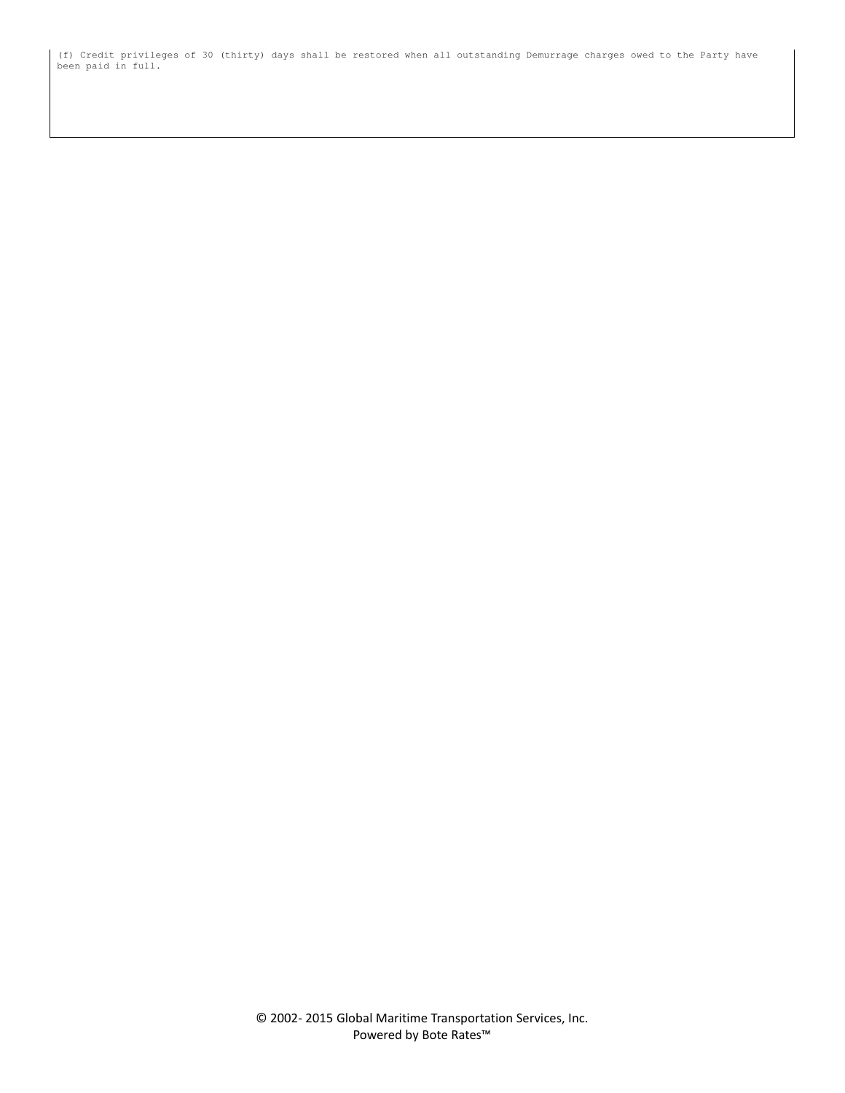(f) Credit privileges of 30 (thirty) days shall be restored when all outstanding Demurrage charges owed to the Party have been paid in full.